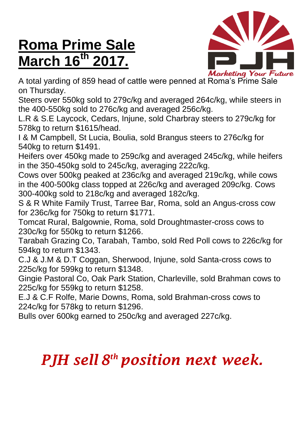## **Roma Prime Sale March 16 th 2017.**



**Marketing Your Fu**<br>A total yarding of 859 head of cattle were penned at Roma's Prime Sale on Thursday.

Steers over 550kg sold to 279c/kg and averaged 264c/kg, while steers in the 400-550kg sold to 276c/kg and averaged 256c/kg.

L.R & S.E Laycock, Cedars, Injune, sold Charbray steers to 279c/kg for 578kg to return \$1615/head.

I & M Campbell, St Lucia, Boulia, sold Brangus steers to 276c/kg for 540kg to return \$1491.

Heifers over 450kg made to 259c/kg and averaged 245c/kg, while heifers in the 350-450kg sold to 245c/kg, averaging 222c/kg.

Cows over 500kg peaked at 236c/kg and averaged 219c/kg, while cows in the 400-500kg class topped at 226c/kg and averaged 209c/kg. Cows 300-400kg sold to 218c/kg and averaged 182c/kg.

S & R White Family Trust, Tarree Bar, Roma, sold an Angus-cross cow for 236c/kg for 750kg to return \$1771.

Tomcat Rural, Balgownie, Roma, sold Droughtmaster-cross cows to 230c/kg for 550kg to return \$1266.

Tarabah Grazing Co, Tarabah, Tambo, sold Red Poll cows to 226c/kg for 594kg to return \$1343.

C.J & J.M & D.T Coggan, Sherwood, Injune, sold Santa-cross cows to 225c/kg for 599kg to return \$1348.

Gingie Pastoral Co, Oak Park Station, Charleville, sold Brahman cows to 225c/kg for 559kg to return \$1258.

E.J & C.F Rolfe, Marie Downs, Roma, sold Brahman-cross cows to 224c/kg for 578kg to return \$1296.

Bulls over 600kg earned to 250c/kg and averaged 227c/kg.

## *PJH sell 8 th position next week.*